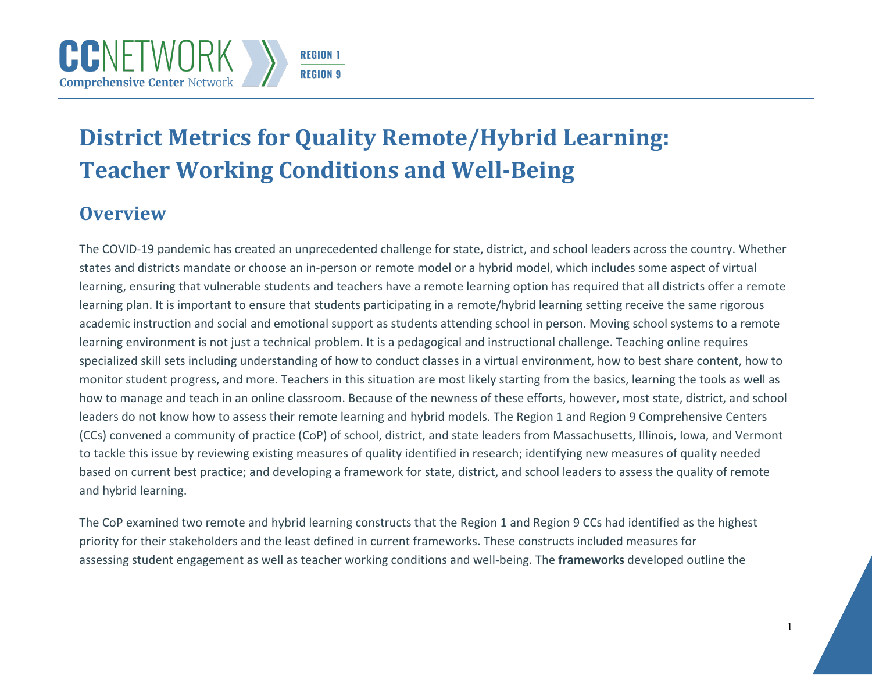# **District Metrics for Quality Remote/Hybrid Learning: Teacher Working Conditions and Well-Being**

# **Overview**

The COVID-19 pandemic has created an unprecedented challenge for state, district, and school leaders across the country. Whether states and districts mandate or choose an in-person or remote model or a hybrid model, which includes some aspect of virtual learning, ensuring that vulnerable students and teachers have a remote learning option has required that all districts offer a remote learning plan. It is important to ensure that students participating in a remote/hybrid learning setting receive the same rigorous academic instruction and social and emotional support as students attending school in person. Moving school systems to a remote learning environment is not just a technical problem. It is a pedagogical and instructional challenge. Teaching online requires specialized skill sets including understanding of how to conduct classes in a virtual environment, how to best share content, how to monitor student progress, and more. Teachers in this situation are most likely starting from the basics, learning the tools as well as how to manage and teach in an online classroom. Because of the newness of these efforts, however, most state, district, and school leaders do not know how to assess their remote learning and hybrid models. The Region 1 and Region 9 Comprehensive Centers (CCs) convened a community of practice (CoP) of school, district, and state leaders from Massachusetts, Illinois, Iowa, and Vermont to tackle this issue by reviewing existing measures of quality identified in research; identifying new measures of quality needed based on current best practice; and developing a framework for state, district, and school leaders to assess the quality of remote and hybrid learning.

The CoP examined two remote and hybrid learning constructs that the Region 1 and Region 9 CCs had identified as the highest priority for their stakeholders and the least defined in current frameworks. These constructs included measures for assessing student engagement as well as teacher working conditions and well-being. The **frameworks** developed outline the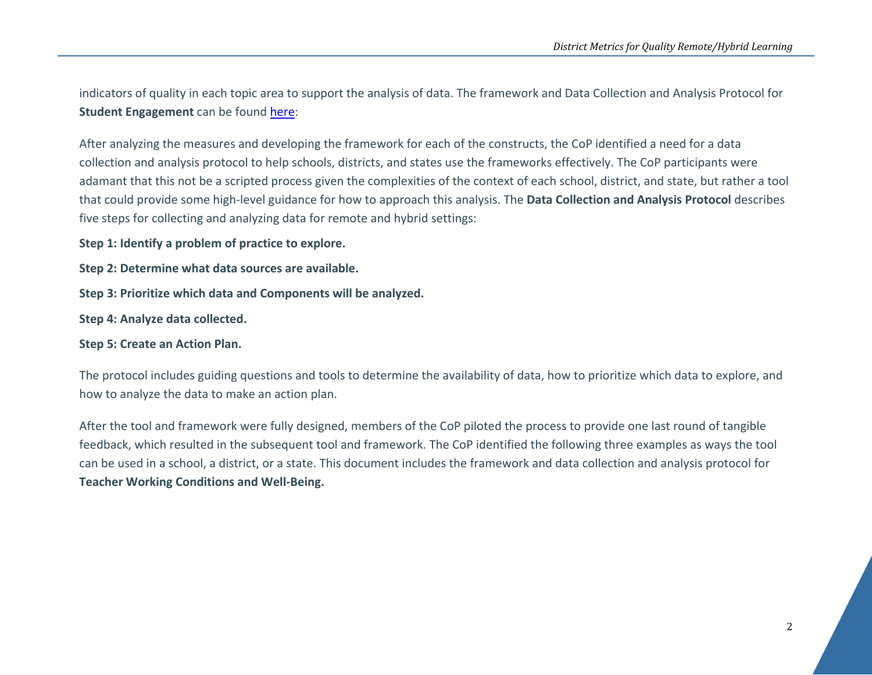indicators of quality in each topic area to support the analysis of data. The framework and Data Collection and Analysis Protocol for **Student Engagement** can be found [here:](https://region9cc.org/sites/default/files/pdf/student-engagement-metrics-508.pdf)

After analyzing the measures and developing the framework for each of the constructs, the CoP identified a need for a data collection and analysis protocol to help schools, districts, and states use the frameworks effectively. The CoP participants were adamant that this not be a scripted process given the complexities of the context of each school, district, and state, but rather a tool that could provide some high-level guidance for how to approach this analysis. The **Data Collection and Analysis Protocol** describes five steps for collecting and analyzing data for remote and hybrid settings:

**Step 1: Identify a problem of practice to explore.**

**Step 2: Determine what data sources are available.**

**Step 3: Prioritize which data and Components will be analyzed.**

**Step 4: Analyze data collected.**

**Step 5: Create an Action Plan.**

The protocol includes guiding questions and tools to determine the availability of data, how to prioritize which data to explore, and how to analyze the data to make an action plan.

After the tool and framework were fully designed, members of the CoP piloted the process to provide one last round of tangible feedback, which resulted in the subsequent tool and framework. The CoP identified the following three examples as ways the tool can be used in a school, a district, or a state. This document includes the framework and data collection and analysis protocol for **Teacher Working Conditions and Well-Being.**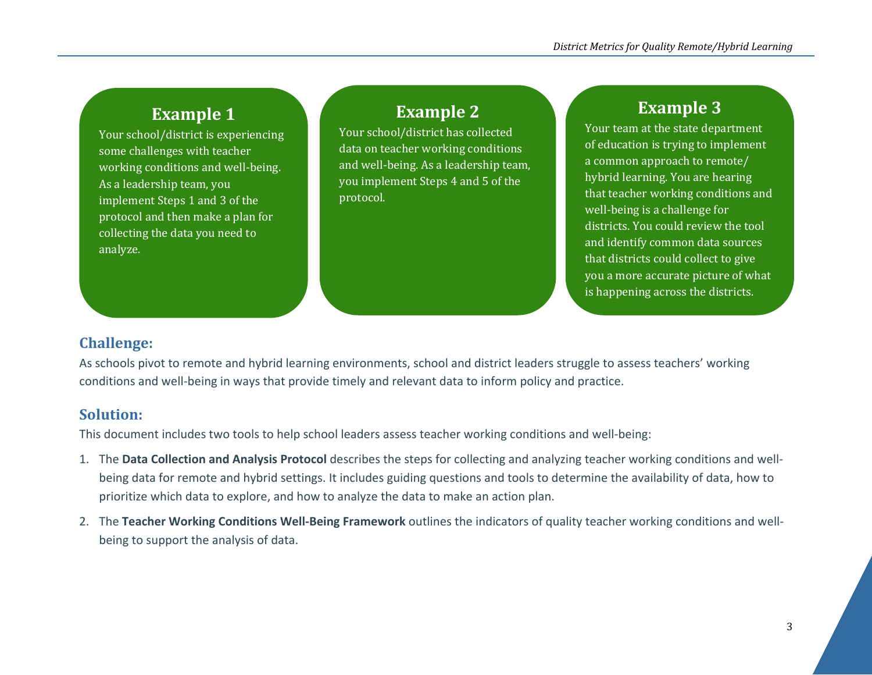# **Example 1**

Your school/district is experiencing some challenges with teacher working conditions and well-being. As a leadership team, you implement Steps 1 and 3 of the protocol and then make a plan for collecting the data you need to analyze.

### **Example 2**

Your school/district has collected data on teacher working conditions and well-being. As a leadership team, you implement Steps 4 and 5 of the protocol.

# **Example 3**

Your team at the state department of education is trying to implement a common approach to remote/ hybrid learning. You are hearing that teacher working conditions and well-being is a challenge for districts. You could review the tool and identify common data sources that districts could collect to give you a more accurate picture of what is happening across the districts.

### **Challenge:**

As schools pivot to remote and hybrid learning environments, school and district leaders struggle to assess teachers' working conditions and well-being in ways that provide timely and relevant data to inform policy and practice.

### **Solution:**

This document includes two tools to help school leaders assess teacher working conditions and well-being:

- 1. The **Data Collection and Analysis Protocol** describes the steps for collecting and analyzing teacher working conditions and wellbeing data for remote and hybrid settings. It includes guiding questions and tools to determine the availability of data, how to prioritize which data to explore, and how to analyze the data to make an action plan.
- 2. The **Teacher Working Conditions Well-Being Framework** outlines the indicators of quality teacher working conditions and wellbeing to support the analysis of data.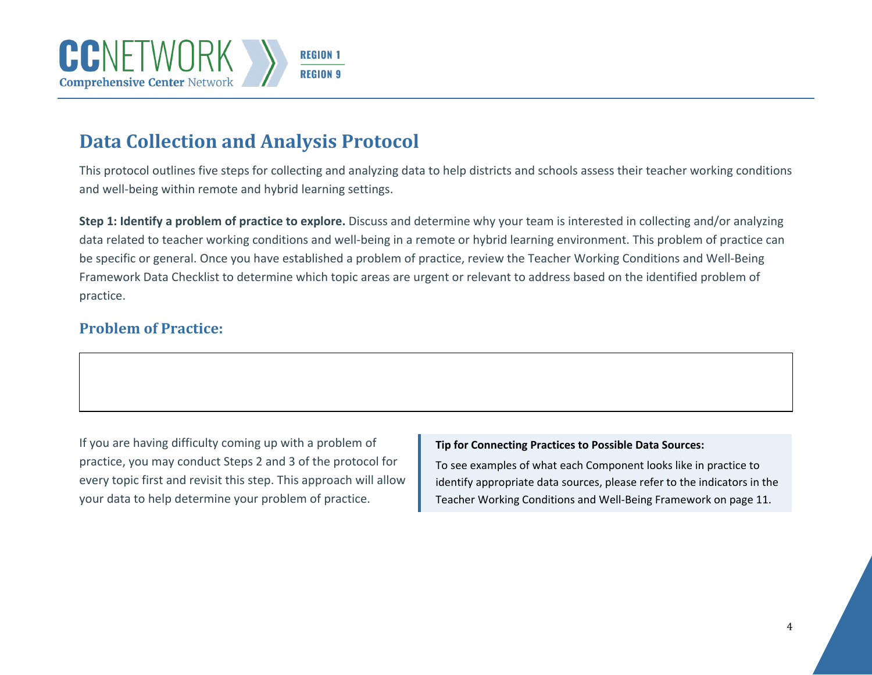# **Data Collection and Analysis Protocol**

This protocol outlines five steps for collecting and analyzing data to help districts and schools assess their teacher working conditions and well-being within remote and hybrid learning settings.

**Step 1: Identify a problem of practice to explore.** Discuss and determine why your team is interested in collecting and/or analyzing data related to teacher working conditions and well-being in a remote or hybrid learning environment. This problem of practice can be specific or general. Once you have established a problem of practice, review the Teacher Working Conditions and Well-Being Framework Data Checklist to determine which topic areas are urgent or relevant to address based on the identified problem of practice.

### **Problem of Practice:**

If you are having difficulty coming up with a problem of practice, you may conduct Steps 2 and 3 of the protocol for every topic first and revisit this step. This approach will allow your data to help determine your problem of practice.

#### **Tip for Connecting Practices to Possible Data Sources:**

To see examples of what each Component looks like in practice to identify appropriate data sources, please refer to the indicators in the Teacher Working Conditions and Well-Being Framework on page 11.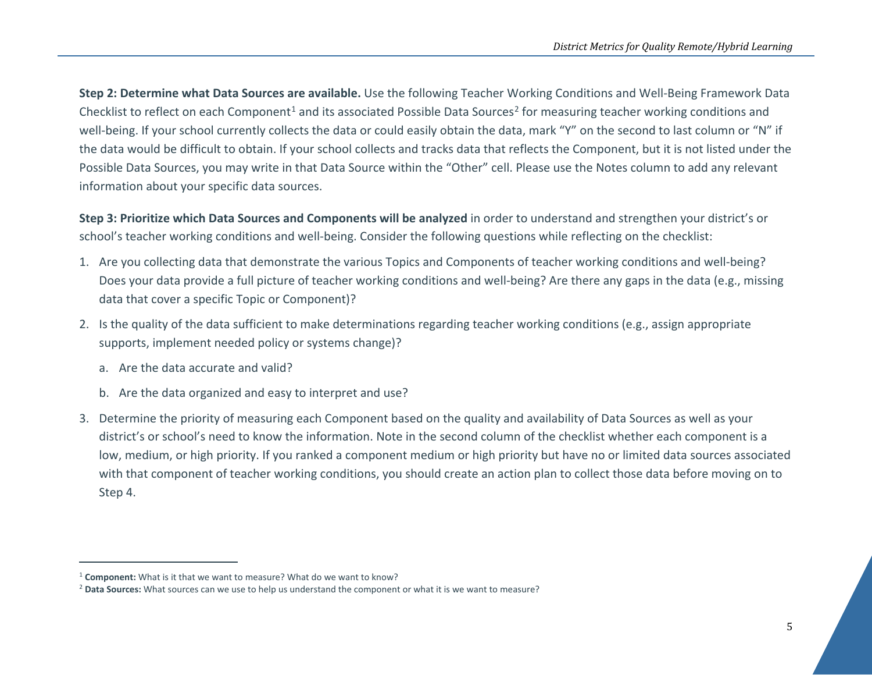<span id="page-4-1"></span><span id="page-4-0"></span>**Step 2: Determine what Data Sources are available.** Use the following Teacher Working Conditions and Well-Being Framework Data Checklist to reflect on each Component<sup>1</sup> and its associated Possible Data Sources<sup>[2](#page-4-1)</sup> for measuring teacher working conditions and well-being. If your school currently collects the data or could easily obtain the data, mark "Y" on the second to last column or "N" if the data would be difficult to obtain. If your school collects and tracks data that reflects the Component, but it is not listed under the Possible Data Sources, you may write in that Data Source within the "Other" cell. Please use the Notes column to add any relevant information about your specific data sources.

**Step 3: Prioritize which Data Sources and Components will be analyzed** in order to understand and strengthen your district's or school's teacher working conditions and well-being. Consider the following questions while reflecting on the checklist:

- 1. Are you collecting data that demonstrate the various Topics and Components of teacher working conditions and well-being? Does your data provide a full picture of teacher working conditions and well-being? Are there any gaps in the data (e.g., missing data that cover a specific Topic or Component)?
- 2. Is the quality of the data sufficient to make determinations regarding teacher working conditions (e.g., assign appropriate supports, implement needed policy or systems change)?
	- a. Are the data accurate and valid?
	- b. Are the data organized and easy to interpret and use?
- 3. Determine the priority of measuring each Component based on the quality and availability of Data Sources as well as your district's or school's need to know the information. Note in the second column of the checklist whether each component is a low, medium, or high priority. If you ranked a component medium or high priority but have no or limited data sources associated with that component of teacher working conditions, you should create an action plan to collect those data before moving on to Step 4.

<sup>&</sup>lt;sup>1</sup> **Component:** What is it that we want to measure? What do we want to know?

<sup>2</sup> **Data Sources:** What sources can we use to help us understand the component or what it is we want to measure?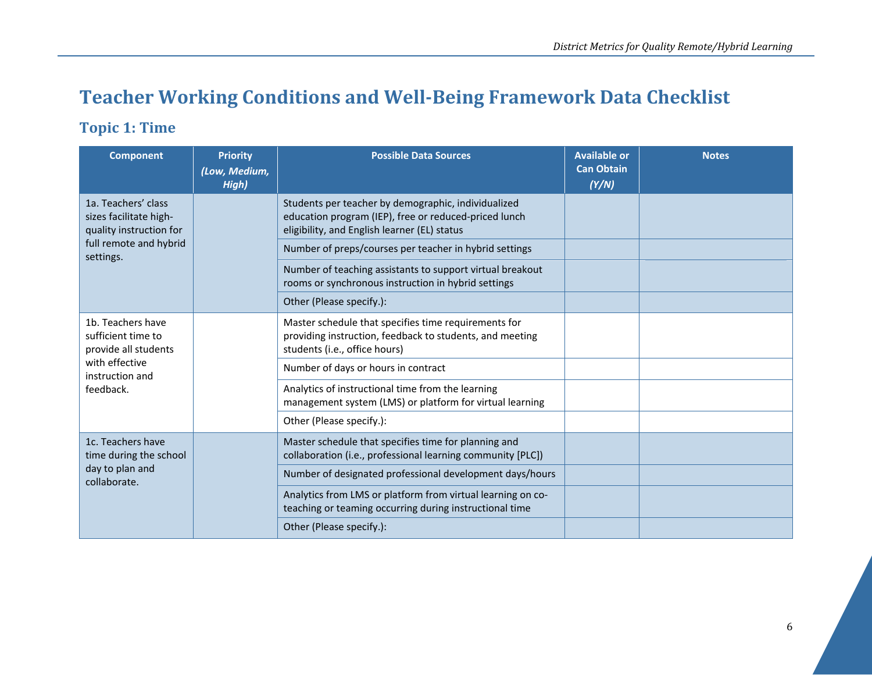# **Teacher Working Conditions and Well-Being Framework Data Checklist**

### **Topic 1: Time**

| <b>Component</b>                                                               | <b>Priority</b><br>(Low, Medium,<br>High) | <b>Possible Data Sources</b>                                                                                                                                 | <b>Available or</b><br><b>Can Obtain</b><br>(Y/N) | <b>Notes</b> |
|--------------------------------------------------------------------------------|-------------------------------------------|--------------------------------------------------------------------------------------------------------------------------------------------------------------|---------------------------------------------------|--------------|
| 1a. Teachers' class<br>sizes facilitate high-<br>quality instruction for       |                                           | Students per teacher by demographic, individualized<br>education program (IEP), free or reduced-priced lunch<br>eligibility, and English learner (EL) status |                                                   |              |
| full remote and hybrid<br>settings.                                            |                                           | Number of preps/courses per teacher in hybrid settings                                                                                                       |                                                   |              |
|                                                                                |                                           | Number of teaching assistants to support virtual breakout<br>rooms or synchronous instruction in hybrid settings                                             |                                                   |              |
|                                                                                |                                           | Other (Please specify.):                                                                                                                                     |                                                   |              |
| 1b. Teachers have<br>sufficient time to<br>provide all students                |                                           | Master schedule that specifies time requirements for<br>providing instruction, feedback to students, and meeting<br>students (i.e., office hours)            |                                                   |              |
| with effective<br>instruction and                                              |                                           | Number of days or hours in contract                                                                                                                          |                                                   |              |
| feedback.                                                                      |                                           | Analytics of instructional time from the learning<br>management system (LMS) or platform for virtual learning                                                |                                                   |              |
|                                                                                |                                           | Other (Please specify.):                                                                                                                                     |                                                   |              |
| 1c. Teachers have<br>time during the school<br>day to plan and<br>collaborate. |                                           | Master schedule that specifies time for planning and<br>collaboration (i.e., professional learning community [PLC])                                          |                                                   |              |
|                                                                                |                                           | Number of designated professional development days/hours                                                                                                     |                                                   |              |
|                                                                                |                                           | Analytics from LMS or platform from virtual learning on co-<br>teaching or teaming occurring during instructional time                                       |                                                   |              |
|                                                                                |                                           | Other (Please specify.):                                                                                                                                     |                                                   |              |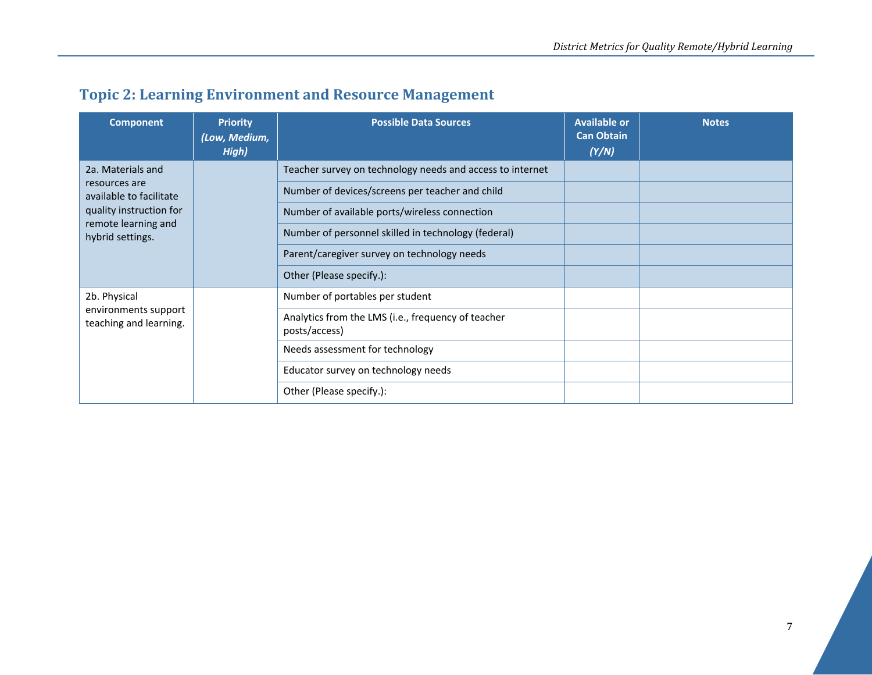|  |  | <b>Topic 2: Learning Environment and Resource Management</b> |
|--|--|--------------------------------------------------------------|
|--|--|--------------------------------------------------------------|

| <b>Component</b>                                               | <b>Priority</b><br>(Low, Medium,<br>High) | <b>Possible Data Sources</b>                                        | <b>Available or</b><br><b>Can Obtain</b><br>(Y/N) | <b>Notes</b> |
|----------------------------------------------------------------|-------------------------------------------|---------------------------------------------------------------------|---------------------------------------------------|--------------|
| 2a. Materials and                                              |                                           | Teacher survey on technology needs and access to internet           |                                                   |              |
| resources are<br>available to facilitate                       |                                           | Number of devices/screens per teacher and child                     |                                                   |              |
| quality instruction for                                        |                                           | Number of available ports/wireless connection                       |                                                   |              |
| remote learning and<br>hybrid settings.                        |                                           | Number of personnel skilled in technology (federal)                 |                                                   |              |
|                                                                |                                           | Parent/caregiver survey on technology needs                         |                                                   |              |
|                                                                |                                           | Other (Please specify.):                                            |                                                   |              |
| 2b. Physical<br>environments support<br>teaching and learning. |                                           | Number of portables per student                                     |                                                   |              |
|                                                                |                                           | Analytics from the LMS (i.e., frequency of teacher<br>posts/access) |                                                   |              |
|                                                                |                                           | Needs assessment for technology                                     |                                                   |              |
|                                                                |                                           | Educator survey on technology needs                                 |                                                   |              |
|                                                                |                                           | Other (Please specify.):                                            |                                                   |              |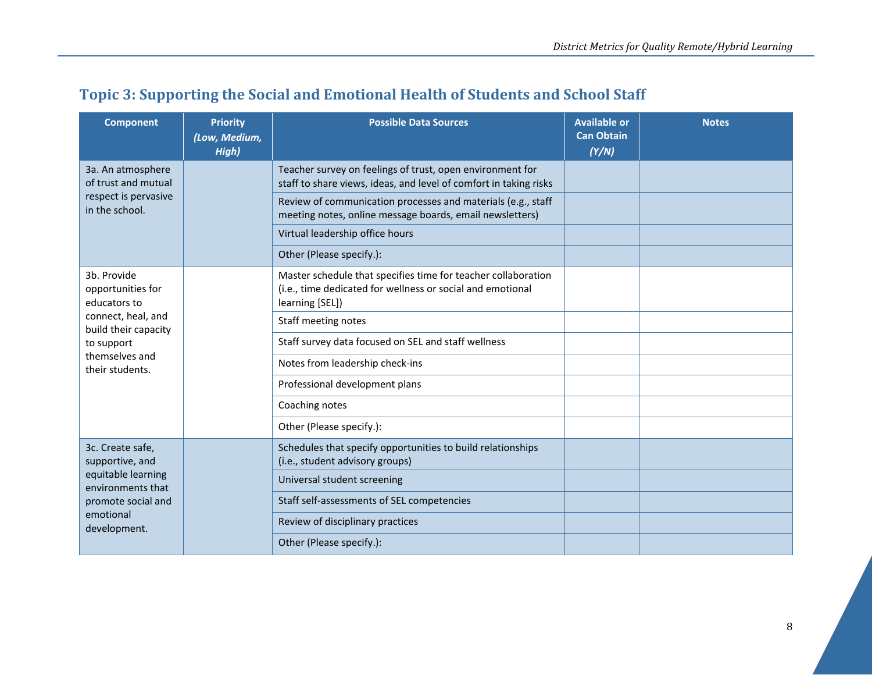## **Topic 3: Supporting the Social and Emotional Health of Students and School Staff**

| <b>Component</b>                                                                                     | <b>Priority</b><br>(Low, Medium,<br>High)                                                                                                      | <b>Possible Data Sources</b>                                                                                                   | <b>Available or</b><br><b>Can Obtain</b><br>(Y/N) | <b>Notes</b> |
|------------------------------------------------------------------------------------------------------|------------------------------------------------------------------------------------------------------------------------------------------------|--------------------------------------------------------------------------------------------------------------------------------|---------------------------------------------------|--------------|
| 3a. An atmosphere<br>of trust and mutual                                                             |                                                                                                                                                | Teacher survey on feelings of trust, open environment for<br>staff to share views, ideas, and level of comfort in taking risks |                                                   |              |
| respect is pervasive<br>in the school.                                                               |                                                                                                                                                | Review of communication processes and materials (e.g., staff<br>meeting notes, online message boards, email newsletters)       |                                                   |              |
|                                                                                                      |                                                                                                                                                | Virtual leadership office hours                                                                                                |                                                   |              |
|                                                                                                      |                                                                                                                                                | Other (Please specify.):                                                                                                       |                                                   |              |
| 3b. Provide<br>opportunities for<br>educators to                                                     | Master schedule that specifies time for teacher collaboration<br>(i.e., time dedicated for wellness or social and emotional<br>learning [SEL]) |                                                                                                                                |                                                   |              |
| connect, heal, and<br>build their capacity                                                           |                                                                                                                                                | Staff meeting notes                                                                                                            |                                                   |              |
| to support                                                                                           |                                                                                                                                                | Staff survey data focused on SEL and staff wellness                                                                            |                                                   |              |
| themselves and<br>their students.                                                                    |                                                                                                                                                | Notes from leadership check-ins                                                                                                |                                                   |              |
|                                                                                                      |                                                                                                                                                | Professional development plans                                                                                                 |                                                   |              |
|                                                                                                      |                                                                                                                                                | Coaching notes                                                                                                                 |                                                   |              |
|                                                                                                      |                                                                                                                                                | Other (Please specify.):                                                                                                       |                                                   |              |
| 3c. Create safe,<br>supportive, and<br>equitable learning<br>environments that<br>promote social and |                                                                                                                                                | Schedules that specify opportunities to build relationships<br>(i.e., student advisory groups)                                 |                                                   |              |
|                                                                                                      |                                                                                                                                                | Universal student screening                                                                                                    |                                                   |              |
|                                                                                                      |                                                                                                                                                | Staff self-assessments of SEL competencies                                                                                     |                                                   |              |
| emotional<br>development.                                                                            |                                                                                                                                                | Review of disciplinary practices                                                                                               |                                                   |              |
|                                                                                                      |                                                                                                                                                | Other (Please specify.):                                                                                                       |                                                   |              |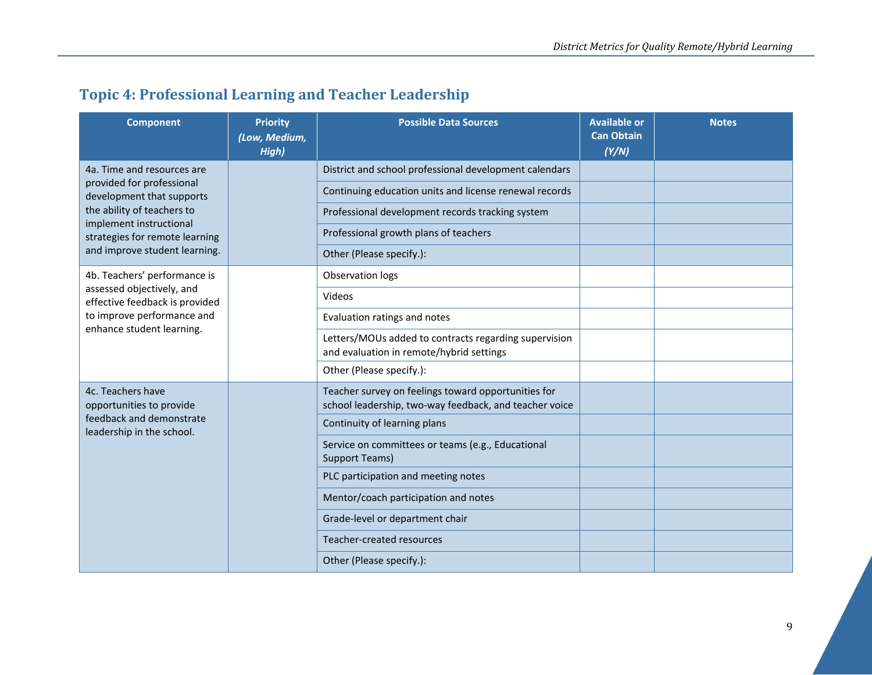## **Topic 4: Professional Learning and Teacher Leadership**

| <b>Component</b>                                                                                       | <b>Priority</b><br>(Low, Medium,<br>High) | <b>Possible Data Sources</b>                                                                                  | <b>Available or</b><br><b>Can Obtain</b><br>(Y/N) | <b>Notes</b> |
|--------------------------------------------------------------------------------------------------------|-------------------------------------------|---------------------------------------------------------------------------------------------------------------|---------------------------------------------------|--------------|
| 4a. Time and resources are                                                                             |                                           | District and school professional development calendars                                                        |                                                   |              |
| provided for professional<br>development that supports                                                 |                                           | Continuing education units and license renewal records                                                        |                                                   |              |
| the ability of teachers to<br>implement instructional                                                  |                                           | Professional development records tracking system                                                              |                                                   |              |
| strategies for remote learning                                                                         |                                           | Professional growth plans of teachers                                                                         |                                                   |              |
| and improve student learning.                                                                          |                                           | Other (Please specify.):                                                                                      |                                                   |              |
| 4b. Teachers' performance is                                                                           |                                           | Observation logs                                                                                              |                                                   |              |
| assessed objectively, and<br>effective feedback is provided                                            |                                           | Videos                                                                                                        |                                                   |              |
| to improve performance and                                                                             |                                           | Evaluation ratings and notes                                                                                  |                                                   |              |
| enhance student learning.                                                                              |                                           | Letters/MOUs added to contracts regarding supervision<br>and evaluation in remote/hybrid settings             |                                                   |              |
|                                                                                                        |                                           | Other (Please specify.):                                                                                      |                                                   |              |
| 4c. Teachers have<br>opportunities to provide<br>feedback and demonstrate<br>leadership in the school. |                                           | Teacher survey on feelings toward opportunities for<br>school leadership, two-way feedback, and teacher voice |                                                   |              |
|                                                                                                        |                                           | Continuity of learning plans                                                                                  |                                                   |              |
|                                                                                                        |                                           | Service on committees or teams (e.g., Educational<br><b>Support Teams)</b>                                    |                                                   |              |
|                                                                                                        |                                           | PLC participation and meeting notes                                                                           |                                                   |              |
|                                                                                                        |                                           | Mentor/coach participation and notes                                                                          |                                                   |              |
|                                                                                                        |                                           | Grade-level or department chair                                                                               |                                                   |              |
|                                                                                                        |                                           | Teacher-created resources                                                                                     |                                                   |              |
|                                                                                                        |                                           | Other (Please specify.):                                                                                      |                                                   |              |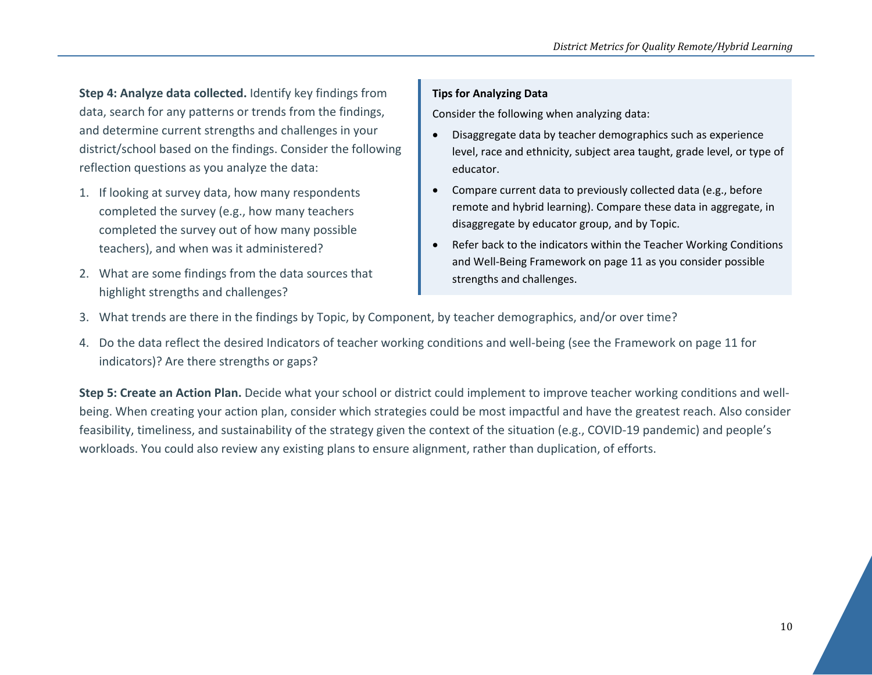**Step 4: Analyze data collected.** Identify key findings from data, search for any patterns or trends from the findings, and determine current strengths and challenges in your district/school based on the findings. Consider the following reflection questions as you analyze the data:

- 1. If looking at survey data, how many respondents completed the survey (e.g., how many teachers completed the survey out of how many possible teachers), and when was it administered?
- 2. What are some findings from the data sources that highlight strengths and challenges?

#### **Tips for Analyzing Data**

Consider the following when analyzing data:

- Disaggregate data by teacher demographics such as experience level, race and ethnicity, subject area taught, grade level, or type of educator.
- Compare current data to previously collected data (e.g., before remote and hybrid learning). Compare these data in aggregate, in disaggregate by educator group, and by Topic.
- Refer back to the indicators within the Teacher Working Conditions and Well-Being Framework on page 11 as you consider possible strengths and challenges.
- 3. What trends are there in the findings by Topic, by Component, by teacher demographics, and/or over time?
- 4. Do the data reflect the desired Indicators of teacher working conditions and well-being (see the Framework on page 11 for indicators)? Are there strengths or gaps?

**Step 5: Create an Action Plan.** Decide what your school or district could implement to improve teacher working conditions and wellbeing. When creating your action plan, consider which strategies could be most impactful and have the greatest reach. Also consider feasibility, timeliness, and sustainability of the strategy given the context of the situation (e.g., COVID-19 pandemic) and people's workloads. You could also review any existing plans to ensure alignment, rather than duplication, of efforts.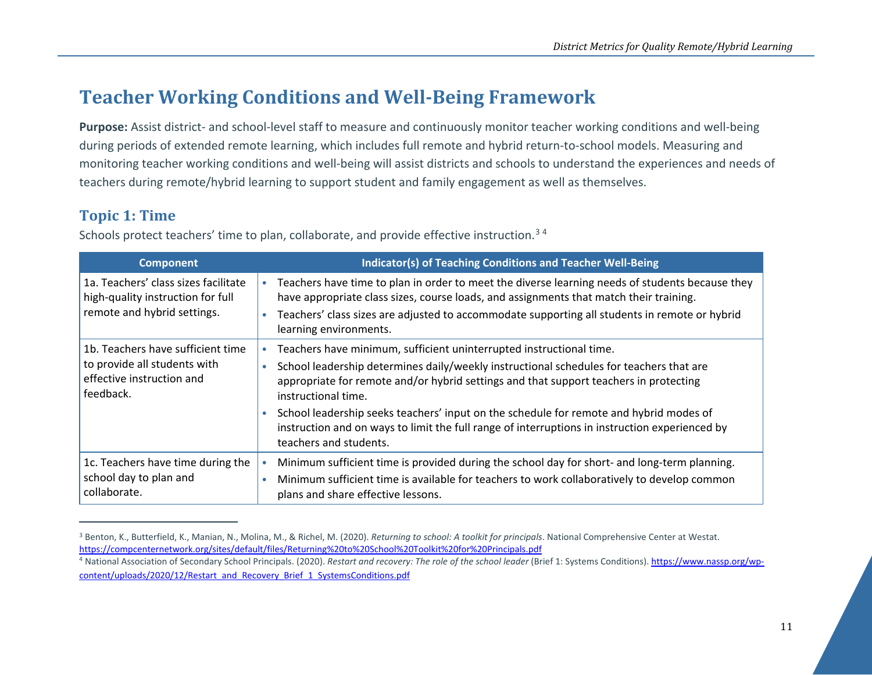# <span id="page-10-1"></span><span id="page-10-0"></span>**Teacher Working Conditions and Well-Being Framework**

**Purpose:** Assist district- and school-level staff to measure and continuously monitor teacher working conditions and well-being during periods of extended remote learning, which includes full remote and hybrid return-to-school models. Measuring and monitoring teacher working conditions and well-being will assist districts and schools to understand the experiences and needs of teachers during remote/hybrid learning to support student and family engagement as well as themselves.

### **Topic 1: Time**

| <b>Component</b>                                                                                            | Indicator(s) of Teaching Conditions and Teacher Well-Being                                                                                                                                                                                                                                                                                                                                                                                                                                                        |
|-------------------------------------------------------------------------------------------------------------|-------------------------------------------------------------------------------------------------------------------------------------------------------------------------------------------------------------------------------------------------------------------------------------------------------------------------------------------------------------------------------------------------------------------------------------------------------------------------------------------------------------------|
| 1a. Teachers' class sizes facilitate<br>high-quality instruction for full<br>remote and hybrid settings.    | Teachers have time to plan in order to meet the diverse learning needs of students because they<br>have appropriate class sizes, course loads, and assignments that match their training.<br>Teachers' class sizes are adjusted to accommodate supporting all students in remote or hybrid<br>$\bullet$<br>learning environments.                                                                                                                                                                                 |
| 1b. Teachers have sufficient time<br>to provide all students with<br>effective instruction and<br>feedback. | Teachers have minimum, sufficient uninterrupted instructional time.<br>School leadership determines daily/weekly instructional schedules for teachers that are<br>$\bullet$<br>appropriate for remote and/or hybrid settings and that support teachers in protecting<br>instructional time.<br>School leadership seeks teachers' input on the schedule for remote and hybrid modes of<br>instruction and on ways to limit the full range of interruptions in instruction experienced by<br>teachers and students. |
| 1c. Teachers have time during the<br>school day to plan and<br>collaborate.                                 | Minimum sufficient time is provided during the school day for short- and long-term planning.<br>Minimum sufficient time is available for teachers to work collaboratively to develop common<br>$\bullet$<br>plans and share effective lessons.                                                                                                                                                                                                                                                                    |

Schools protect teachers' time to plan, collaborate, and provide effective instruction.<sup>[3](#page-10-0)4</sup>

<sup>3</sup> Benton, K., Butterfield, K., Manian, N., Molina, M., & Richel, M. (2020). *Returning to school: A toolkit for principals*. National Comprehensive Center at Westat. <https://compcenternetwork.org/sites/default/files/Returning%20to%20School%20Toolkit%20for%20Principals.pdf>

<sup>4</sup> National Association of Secondary School Principals. (2020). *Restart and recovery: The role of the school leader* (Brief 1: Systems Conditions)[. https://www.nassp.org/wp](https://www.nassp.org/wp-content/uploads/2020/12/Restart_and_Recovery_Brief_1_SystemsConditions.pdf)[content/uploads/2020/12/Restart\\_and\\_Recovery\\_Brief\\_1\\_SystemsConditions.pdf](https://www.nassp.org/wp-content/uploads/2020/12/Restart_and_Recovery_Brief_1_SystemsConditions.pdf)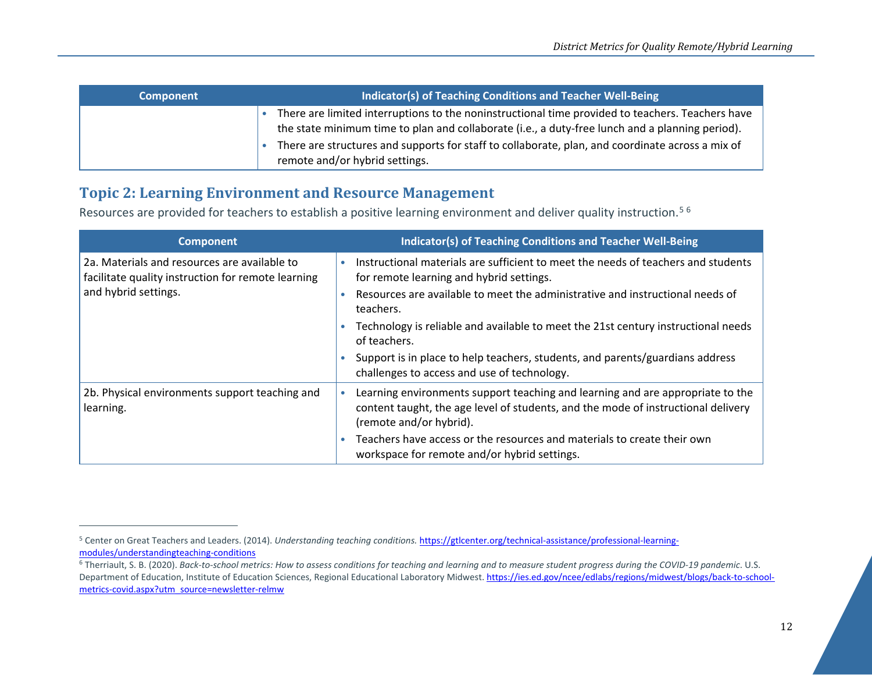<span id="page-11-1"></span><span id="page-11-0"></span>

| <b>Component</b> | Indicator(s) of Teaching Conditions and Teacher Well-Being                                                                                                                                          |  |
|------------------|-----------------------------------------------------------------------------------------------------------------------------------------------------------------------------------------------------|--|
|                  | There are limited interruptions to the noninstructional time provided to teachers. Teachers have<br>the state minimum time to plan and collaborate (i.e., a duty-free lunch and a planning period). |  |
|                  | There are structures and supports for staff to collaborate, plan, and coordinate across a mix of<br>remote and/or hybrid settings.                                                                  |  |

### **Topic 2: Learning Environment and Resource Management**

Resources are provided for teachers to establish a positive learning environment and deliver quality instruction.<sup>[5](#page-11-0)[6](#page-11-1)</sup>

| <b>Component</b>                                                                                   | Indicator(s) of Teaching Conditions and Teacher Well-Being                                                                                                                                     |
|----------------------------------------------------------------------------------------------------|------------------------------------------------------------------------------------------------------------------------------------------------------------------------------------------------|
| 2a. Materials and resources are available to<br>facilitate quality instruction for remote learning | Instructional materials are sufficient to meet the needs of teachers and students<br>for remote learning and hybrid settings.                                                                  |
| and hybrid settings.                                                                               | Resources are available to meet the administrative and instructional needs of<br>teachers.                                                                                                     |
|                                                                                                    | Technology is reliable and available to meet the 21st century instructional needs<br>of teachers.                                                                                              |
|                                                                                                    | Support is in place to help teachers, students, and parents/guardians address<br>challenges to access and use of technology.                                                                   |
| 2b. Physical environments support teaching and<br>learning.                                        | Learning environments support teaching and learning and are appropriate to the<br>content taught, the age level of students, and the mode of instructional delivery<br>(remote and/or hybrid). |
|                                                                                                    | Teachers have access or the resources and materials to create their own<br>workspace for remote and/or hybrid settings.                                                                        |

<sup>&</sup>lt;sup>5</sup> Center on Great Teachers and Leaders. (2014). *Understanding teaching conditions*. *https://gtlcenter.org/technical-assistance/professional-learning-* modules/understandingteaching-conditions

<sup>&</sup>lt;sup>6</sup> Therriault, S. B. (2020). Back-to-school metrics: How to assess conditions for teaching and learning and to measure student progress during the COVID-19 pandemic. U.S. Department of Education, Institute of Education Sciences, Regional Educational Laboratory Midwest[. https://ies.ed.gov/ncee/edlabs/regions/midwest/blogs/back-to-school](https://ies.ed.gov/ncee/edlabs/regions/midwest/blogs/back-to-school-metrics-covid.aspx?utm_source=newsletter-relmw)[metrics-covid.aspx?utm\\_source=newsletter-relmw](https://ies.ed.gov/ncee/edlabs/regions/midwest/blogs/back-to-school-metrics-covid.aspx?utm_source=newsletter-relmw)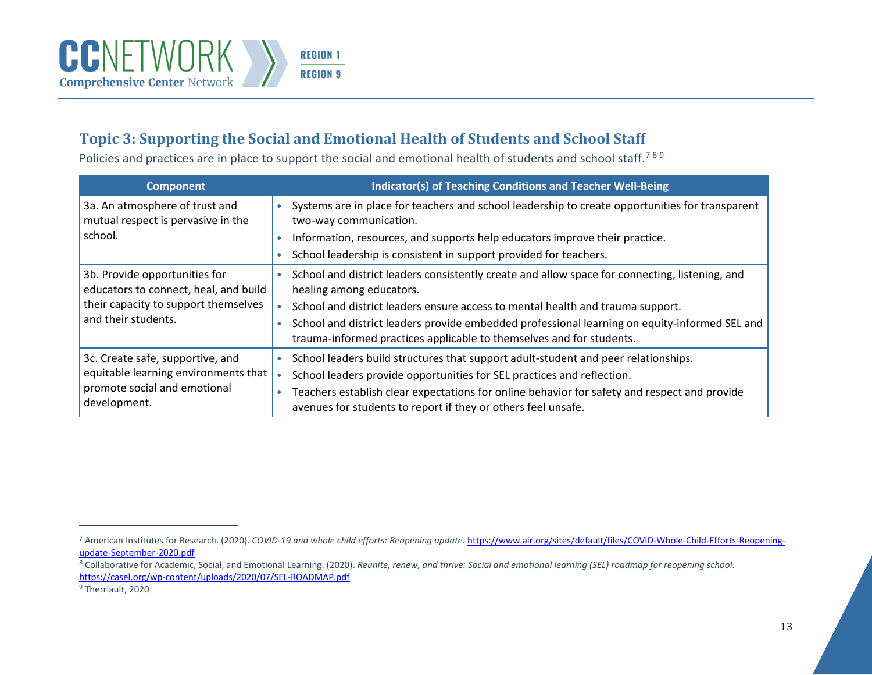<span id="page-12-2"></span><span id="page-12-1"></span><span id="page-12-0"></span>

### **Topic 3: Supporting the Social and Emotional Health of Students and School Staff**

Policies and practices are in place to support the social and emotional health of students and school staff.<sup>[7](#page-12-0)8[9](#page-12-2)</sup>

| <b>Component</b>                                                       | Indicator(s) of Teaching Conditions and Teacher Well-Being                                                                                                            |
|------------------------------------------------------------------------|-----------------------------------------------------------------------------------------------------------------------------------------------------------------------|
| 3a. An atmosphere of trust and<br>mutual respect is pervasive in the   | Systems are in place for teachers and school leadership to create opportunities for transparent<br>two-way communication.                                             |
| school.                                                                | Information, resources, and supports help educators improve their practice.                                                                                           |
|                                                                        | School leadership is consistent in support provided for teachers.                                                                                                     |
| 3b. Provide opportunities for<br>educators to connect, heal, and build | School and district leaders consistently create and allow space for connecting, listening, and<br>healing among educators.                                            |
| their capacity to support themselves                                   | School and district leaders ensure access to mental health and trauma support.                                                                                        |
| and their students.                                                    | School and district leaders provide embedded professional learning on equity-informed SEL and<br>trauma-informed practices applicable to themselves and for students. |
| 3c. Create safe, supportive, and                                       | School leaders build structures that support adult-student and peer relationships.                                                                                    |
| equitable learning environments that                                   | School leaders provide opportunities for SEL practices and reflection.                                                                                                |
| promote social and emotional<br>development.                           | Teachers establish clear expectations for online behavior for safety and respect and provide<br>avenues for students to report if they or others feel unsafe.         |

<sup>&</sup>lt;sup>7</sup> American Institutes for Research. (2020). *COVID-19 and whole child efforts: Reopening update*. https://www.air.org/sites/default/files/COVID-Whole-Child-Efforts-Reopening-update-September-2020.pdf

<sup>&</sup>lt;sup>8</sup> Collaborative for Academic, Social, and Emotional Learning. (2020). *Reunite, renew, and thrive: Social and emotional learning (SEL) roadmap for reopening school*. <https://casel.org/wp-content/uploads/2020/07/SEL-ROADMAP.pdf>

<sup>&</sup>lt;sup>9</sup> Therriault, 2020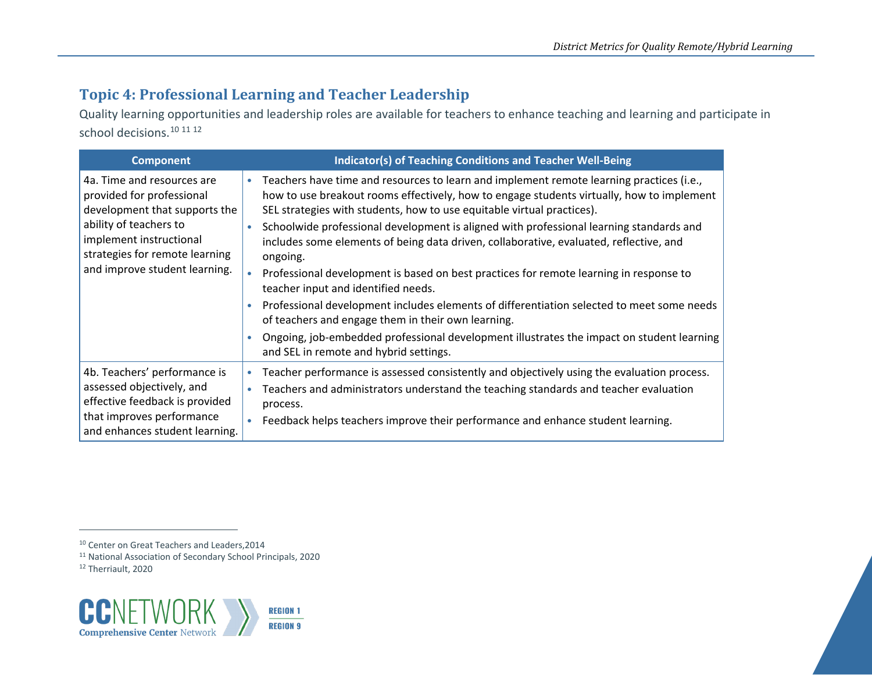### <span id="page-13-2"></span><span id="page-13-1"></span><span id="page-13-0"></span>**Topic 4: Professional Learning and Teacher Leadership**

Quality learning opportunities and leadership roles are available for teachers to enhance teaching and learning and participate in school decisions.<sup>[10](#page-13-0) [11](#page-13-1) [12](#page-13-2)</sup>

| <b>Component</b>                                                                                                                                                                                                 | <b>Indicator(s) of Teaching Conditions and Teacher Well-Being</b>                                                                                                                                                                                                                                                                                                                                                                                                                                                                                                                                                                                                                                                                                                                                                                                 |
|------------------------------------------------------------------------------------------------------------------------------------------------------------------------------------------------------------------|---------------------------------------------------------------------------------------------------------------------------------------------------------------------------------------------------------------------------------------------------------------------------------------------------------------------------------------------------------------------------------------------------------------------------------------------------------------------------------------------------------------------------------------------------------------------------------------------------------------------------------------------------------------------------------------------------------------------------------------------------------------------------------------------------------------------------------------------------|
| 4a. Time and resources are<br>provided for professional<br>development that supports the<br>ability of teachers to<br>implement instructional<br>strategies for remote learning<br>and improve student learning. | Teachers have time and resources to learn and implement remote learning practices (i.e.,<br>how to use breakout rooms effectively, how to engage students virtually, how to implement<br>SEL strategies with students, how to use equitable virtual practices).<br>Schoolwide professional development is aligned with professional learning standards and<br>includes some elements of being data driven, collaborative, evaluated, reflective, and<br>ongoing.<br>Professional development is based on best practices for remote learning in response to<br>teacher input and identified needs.<br>Professional development includes elements of differentiation selected to meet some needs<br>of teachers and engage them in their own learning.<br>Ongoing, job-embedded professional development illustrates the impact on student learning |
|                                                                                                                                                                                                                  | and SEL in remote and hybrid settings.                                                                                                                                                                                                                                                                                                                                                                                                                                                                                                                                                                                                                                                                                                                                                                                                            |
| 4b. Teachers' performance is<br>assessed objectively, and<br>effective feedback is provided<br>that improves performance<br>and enhances student learning.                                                       | Teacher performance is assessed consistently and objectively using the evaluation process.<br>Teachers and administrators understand the teaching standards and teacher evaluation<br>process.<br>Feedback helps teachers improve their performance and enhance student learning.                                                                                                                                                                                                                                                                                                                                                                                                                                                                                                                                                                 |

<sup>12</sup> Therriault, 2020



<sup>&</sup>lt;sup>10</sup> Center on Great Teachers and Leaders, 2014

<sup>11</sup> National Association of Secondary School Principals, 2020